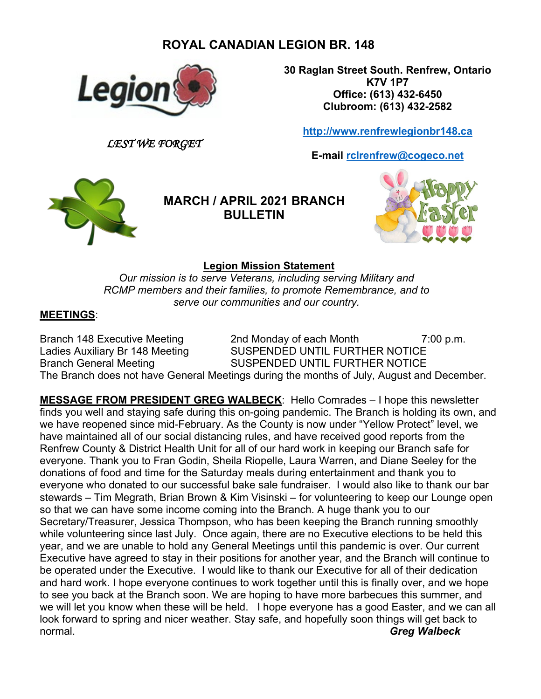# **ROYAL CANADIAN LEGION BR. 148**



*LEST WE FORGET*

**30 Raglan Street South. Renfrew, Ontario K7V 1P7 Office: (613) 432-6450 Clubroom: (613) 432-2582**

**[http://www.renfrewlegionbr148.ca](http://www.renfrewlegionbr148.ca/)**

**E-mail [rclrenfrew@cogeco.net](mailto:rclrenfrew@cogeco.net)**



**MARCH / APRIL 2021 BRANCH BULLETIN**



## **Legion Mission Statement**

*Our mission is to serve Veterans, including serving Military and RCMP members and their families, to promote Remembrance, and to serve our communities and our country.*

### **MEETINGS**:

Branch 148 Executive Meeting 2nd Monday of each Month 7:00 p.m.<br>Ladies Auxiliary Br 148 Meeting SUSPENDED UNTIL FURTHER NOTICE SUSPENDED UNTIL FURTHER NOTICE Branch General Meeting SUSPENDED UNTIL FURTHER NOTICE The Branch does not have General Meetings during the months of July, August and December.

**MESSAGE FROM PRESIDENT GREG WALBECK**: Hello Comrades – I hope this newsletter finds you well and staying safe during this on-going pandemic. The Branch is holding its own, and we have reopened since mid-February. As the County is now under "Yellow Protect" level, we have maintained all of our social distancing rules, and have received good reports from the Renfrew County & District Health Unit for all of our hard work in keeping our Branch safe for everyone. Thank you to Fran Godin, Sheila Riopelle, Laura Warren, and Diane Seeley for the donations of food and time for the Saturday meals during entertainment and thank you to everyone who donated to our successful bake sale fundraiser. I would also like to thank our bar stewards – Tim Megrath, Brian Brown & Kim Visinski – for volunteering to keep our Lounge open so that we can have some income coming into the Branch. A huge thank you to our Secretary/Treasurer, Jessica Thompson, who has been keeping the Branch running smoothly while volunteering since last July. Once again, there are no Executive elections to be held this year, and we are unable to hold any General Meetings until this pandemic is over. Our current Executive have agreed to stay in their positions for another year, and the Branch will continue to be operated under the Executive. I would like to thank our Executive for all of their dedication and hard work. I hope everyone continues to work together until this is finally over, and we hope to see you back at the Branch soon. We are hoping to have more barbecues this summer, and we will let you know when these will be held. I hope everyone has a good Easter, and we can all look forward to spring and nicer weather. Stay safe, and hopefully soon things will get back to normal. *Greg Walbeck*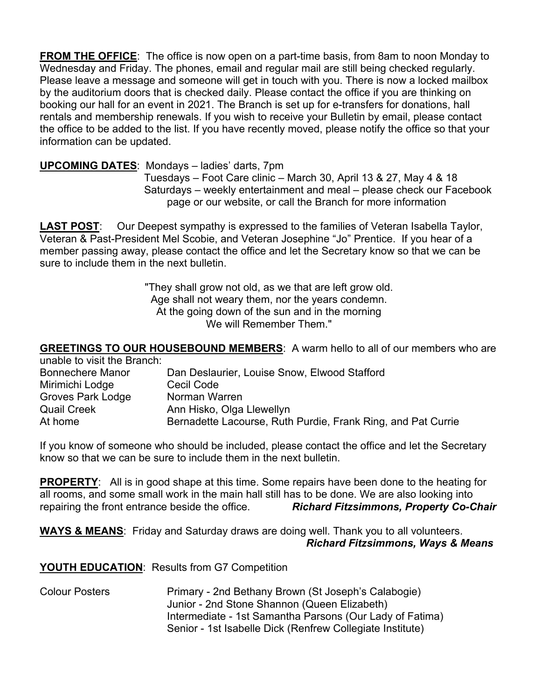**FROM THE OFFICE**: The office is now open on a part-time basis, from 8am to noon Monday to Wednesday and Friday. The phones, email and regular mail are still being checked regularly. Please leave a message and someone will get in touch with you. There is now a locked mailbox by the auditorium doors that is checked daily. Please contact the office if you are thinking on booking our hall for an event in 2021. The Branch is set up for e-transfers for donations, hall rentals and membership renewals. If you wish to receive your Bulletin by email, please contact the office to be added to the list. If you have recently moved, please notify the office so that your information can be updated.

### **UPCOMING DATES**: Mondays – ladies' darts, 7pm

 Tuesdays – Foot Care clinic – March 30, April 13 & 27, May 4 & 18 Saturdays – weekly entertainment and meal – please check our Facebook page or our website, or call the Branch for more information

**LAST POST**: Our Deepest sympathy is expressed to the families of Veteran Isabella Taylor, Veteran & Past-President Mel Scobie, and Veteran Josephine "Jo" Prentice. If you hear of a member passing away, please contact the office and let the Secretary know so that we can be sure to include them in the next bulletin.

> "They shall grow not old, as we that are left grow old. Age shall not weary them, nor the years condemn. At the going down of the sun and in the morning We will Remember Them."

**GREETINGS TO OUR HOUSEBOUND MEMBERS**: A warm hello to all of our members who are unable to visit the Branch:

| and to violence Diditor. |                                                              |
|--------------------------|--------------------------------------------------------------|
| <b>Bonnechere Manor</b>  | Dan Deslaurier, Louise Snow, Elwood Stafford                 |
| Mirimichi Lodge          | Cecil Code                                                   |
| <b>Groves Park Lodge</b> | Norman Warren                                                |
| <b>Quail Creek</b>       | Ann Hisko, Olga Llewellyn                                    |
| At home                  | Bernadette Lacourse, Ruth Purdie, Frank Ring, and Pat Currie |
|                          |                                                              |

If you know of someone who should be included, please contact the office and let the Secretary know so that we can be sure to include them in the next bulletin.

**PROPERTY**: All is in good shape at this time. Some repairs have been done to the heating for all rooms, and some small work in the main hall still has to be done. We are also looking into repairing the front entrance beside the office. *Richard Fitzsimmons, Property Co-Chair*

**WAYS & MEANS**: Friday and Saturday draws are doing well. Thank you to all volunteers. *Richard Fitzsimmons, Ways & Means*

### **YOUTH EDUCATION**: Results from G7 Competition

Colour Posters **Primary - 2nd Bethany Brown (St Joseph's Calabogie)** Junior - 2nd Stone Shannon (Queen Elizabeth) Intermediate - 1st Samantha Parsons (Our Lady of Fatima) Senior - 1st Isabelle Dick (Renfrew Collegiate Institute)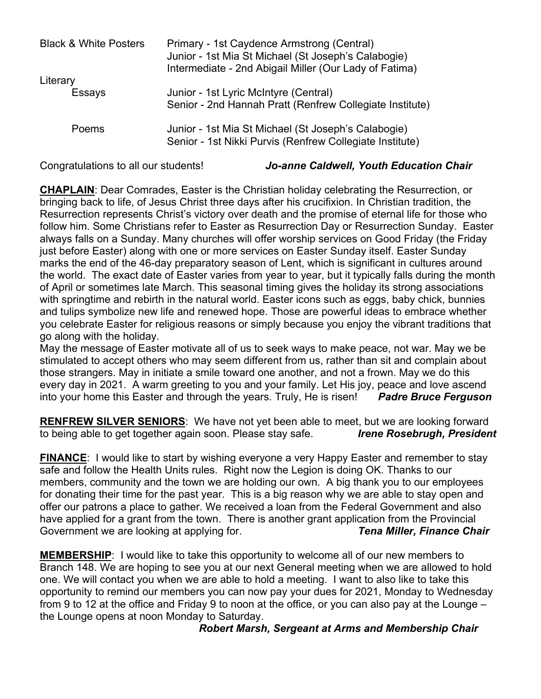| <b>Black &amp; White Posters</b> | Primary - 1st Caydence Armstrong (Central)<br>Junior - 1st Mia St Michael (St Joseph's Calabogie)<br>Intermediate - 2nd Abigail Miller (Our Lady of Fatima) |
|----------------------------------|-------------------------------------------------------------------------------------------------------------------------------------------------------------|
| Literary                         |                                                                                                                                                             |
| Essays                           | Junior - 1st Lyric McIntyre (Central)<br>Senior - 2nd Hannah Pratt (Renfrew Collegiate Institute)                                                           |
| Poems                            | Junior - 1st Mia St Michael (St Joseph's Calabogie)<br>Senior - 1st Nikki Purvis (Renfrew Collegiate Institute)                                             |

#### Congratulations to all our students! *Jo-anne Caldwell, Youth Education Chair*

**CHAPLAIN**: Dear Comrades, Easter is the Christian holiday celebrating the Resurrection, or bringing back to life, of Jesus Christ three days after his crucifixion. In Christian tradition, the Resurrection represents Christ's victory over death and the promise of eternal life for those who follow him. Some Christians refer to Easter as Resurrection Day or Resurrection Sunday. Easter always falls on a Sunday. Many churches will offer worship services on Good Friday (the Friday just before Easter) along with one or more services on Easter Sunday itself. Easter Sunday marks the end of the 46-day preparatory season of Lent, which is significant in cultures around the world. The exact date of Easter varies from year to year, but it typically falls during the month of April or sometimes late March. This seasonal timing gives the holiday its strong associations with springtime and rebirth in the natural world. Easter icons such as eggs, baby chick, bunnies and tulips symbolize new life and renewed hope. Those are powerful ideas to embrace whether you celebrate Easter for religious reasons or simply because you enjoy the vibrant traditions that go along with the holiday.

May the message of Easter motivate all of us to seek ways to make peace, not war. May we be stimulated to accept others who may seem different from us, rather than sit and complain about those strangers. May in initiate a smile toward one another, and not a frown. May we do this every day in 2021. A warm greeting to you and your family. Let His joy, peace and love ascend into your home this Easter and through the years. Truly, He is risen! *Padre Bruce Ferguson*

**RENFREW SILVER SENIORS**: We have not yet been able to meet, but we are looking forward to being able to get together again soon. Please stay safe. *Irene Rosebrugh, President*

**FINANCE:** I would like to start by wishing everyone a very Happy Easter and remember to stay safe and follow the Health Units rules. Right now the Legion is doing OK. Thanks to our members, community and the town we are holding our own. A big thank you to our employees for donating their time for the past year. This is a big reason why we are able to stay open and offer our patrons a place to gather. We received a loan from the Federal Government and also have applied for a grant from the town. There is another grant application from the Provincial Government we are looking at applying for. *Tena Miller, Finance Chair*

**MEMBERSHIP**: I would like to take this opportunity to welcome all of our new members to Branch 148. We are hoping to see you at our next General meeting when we are allowed to hold one. We will contact you when we are able to hold a meeting. I want to also like to take this opportunity to remind our members you can now pay your dues for 2021, Monday to Wednesday from 9 to 12 at the office and Friday 9 to noon at the office, or you can also pay at the Lounge – the Lounge opens at noon Monday to Saturday.

#### *Robert Marsh, Sergeant at Arms and Membership Chair*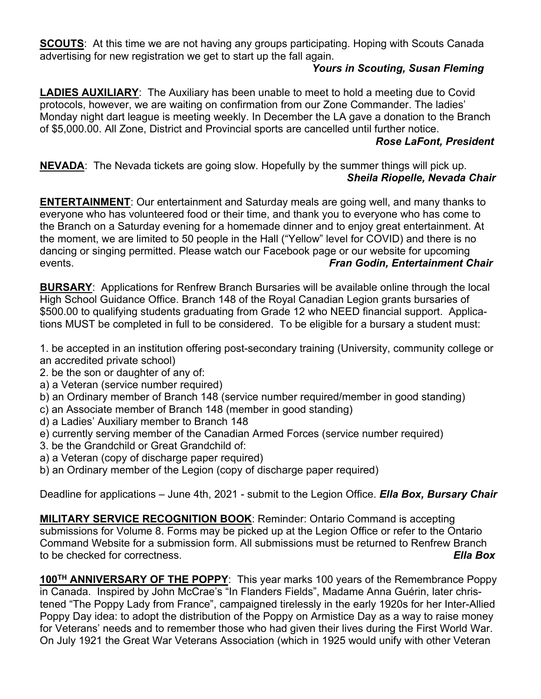**SCOUTS**: At this time we are not having any groups participating. Hoping with Scouts Canada advertising for new registration we get to start up the fall again.

## *Yours in Scouting, Susan Fleming*

**LADIES AUXILIARY**: The Auxiliary has been unable to meet to hold a meeting due to Covid protocols, however, we are waiting on confirmation from our Zone Commander. The ladies' Monday night dart league is meeting weekly. In December the LA gave a donation to the Branch of \$5,000.00. All Zone, District and Provincial sports are cancelled until further notice.

### *Rose LaFont, President*

**NEVADA**: The Nevada tickets are going slow. Hopefully by the summer things will pick up. *Sheila Riopelle, Nevada Chair*

**ENTERTAINMENT**: Our entertainment and Saturday meals are going well, and many thanks to everyone who has volunteered food or their time, and thank you to everyone who has come to the Branch on a Saturday evening for a homemade dinner and to enjoy great entertainment. At the moment, we are limited to 50 people in the Hall ("Yellow" level for COVID) and there is no dancing or singing permitted. Please watch our Facebook page or our website for upcoming events. *Fran Godin, Entertainment Chair*

**BURSARY**: Applications for Renfrew Branch Bursaries will be available online through the local High School Guidance Office. Branch 148 of the Royal Canadian Legion grants bursaries of \$500.00 to qualifying students graduating from Grade 12 who NEED financial support. Applications MUST be completed in full to be considered. To be eligible for a bursary a student must:

1. be accepted in an institution offering post-secondary training (University, community college or an accredited private school)

- 2. be the son or daughter of any of:
- a) a Veteran (service number required)
- b) an Ordinary member of Branch 148 (service number required/member in good standing)
- c) an Associate member of Branch 148 (member in good standing)
- d) a Ladies' Auxiliary member to Branch 148
- e) currently serving member of the Canadian Armed Forces (service number required)
- 3. be the Grandchild or Great Grandchild of:
- a) a Veteran (copy of discharge paper required)
- b) an Ordinary member of the Legion (copy of discharge paper required)

Deadline for applications – June 4th, 2021 - submit to the Legion Office. *Ella Box, Bursary Chair*

**MILITARY SERVICE RECOGNITION BOOK**: Reminder: Ontario Command is accepting submissions for Volume 8. Forms may be picked up at the Legion Office or refer to the Ontario Command Website for a submission form. All submissions must be returned to Renfrew Branch to be checked for correctness. *Ella Box*

**100TH ANNIVERSARY OF THE POPPY**: This year marks 100 years of the Remembrance Poppy in Canada. Inspired by John McCrae's "In Flanders Fields", Madame Anna Guérin, later christened "The Poppy Lady from France", campaigned tirelessly in the early 1920s for her Inter-Allied Poppy Day idea: to adopt the distribution of the Poppy on Armistice Day as a way to raise money for Veterans' needs and to remember those who had given their lives during the First World War. On July 1921 the Great War Veterans Association (which in 1925 would unify with other Veteran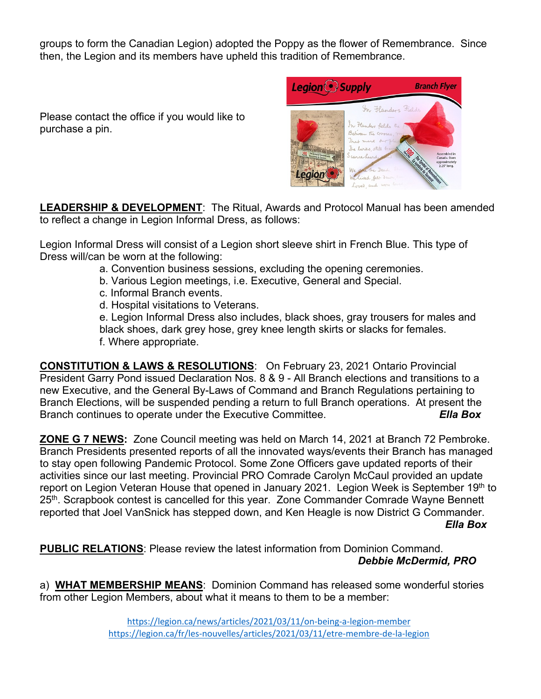groups to form the Canadian Legion) adopted the Poppy as the flower of Remembrance. Since then, the Legion and its members have upheld this tradition of Remembrance.

Please contact the office if you would like to purchase a pin.

| Legion Supply                                                                                                                                                                   |                                                                                                                                                                                                                      | <b>Branch Flyer</b>                                                                                  |
|---------------------------------------------------------------------------------------------------------------------------------------------------------------------------------|----------------------------------------------------------------------------------------------------------------------------------------------------------------------------------------------------------------------|------------------------------------------------------------------------------------------------------|
| In Flandys Fiches<br>1 3 The province theme of the<br>comment of the<br>of the gain - the day<br>Comme comme l'or<br>more the end of<br>100 The Symbol of Remembrance<br>Legion | In Flanders Fields<br>In Handers fields the po<br>Between the crosses, my<br>That mark our plast<br>The larks, still brough<br>Scarce Leard<br>We are the Dead. She<br>We lived, felt dawn,<br>Loved, and were loved | Assembled in<br>Canada, Stem<br>The System of Reporting the State of<br>approximately<br>2.25" long. |

**LEADERSHIP & DEVELOPMENT**: The Ritual, Awards and Protocol Manual has been amended to reflect a change in Legion Informal Dress, as follows:

Legion Informal Dress will consist of a Legion short sleeve shirt in French Blue. This type of Dress will/can be worn at the following:

- a. Convention business sessions, excluding the opening ceremonies.
- b. Various Legion meetings, i.e. Executive, General and Special.
- c. Informal Branch events.
- d. Hospital visitations to Veterans.

e. Legion Informal Dress also includes, black shoes, gray trousers for males and black shoes, dark grey hose, grey knee length skirts or slacks for females. f. Where appropriate.

**CONSTITUTION & LAWS & RESOLUTIONS**: On February 23, 2021 Ontario Provincial President Garry Pond issued Declaration Nos. 8 & 9 - All Branch elections and transitions to a new Executive, and the General By-Laws of Command and Branch Regulations pertaining to Branch Elections, will be suspended pending a return to full Branch operations. At present the Branch continues to operate under the Executive Committee. *Ella Box*

**ZONE G 7 NEWS:** Zone Council meeting was held on March 14, 2021 at Branch 72 Pembroke. Branch Presidents presented reports of all the innovated ways/events their Branch has managed to stay open following Pandemic Protocol. Some Zone Officers gave updated reports of their activities since our last meeting. Provincial PRO Comrade Carolyn McCaul provided an update report on Legion Veteran House that opened in January 2021. Legion Week is September 19<sup>th</sup> to 25<sup>th</sup>. Scrapbook contest is cancelled for this year. Zone Commander Comrade Wayne Bennett reported that Joel VanSnick has stepped down, and Ken Heagle is now District G Commander.

 *Ella Box*

**PUBLIC RELATIONS**: Please review the latest information from Dominion Command. *Debbie McDermid, PRO*

a) **WHAT MEMBERSHIP MEANS**: Dominion Command has released some wonderful stories from other Legion Members, about what it means to them to be a member: